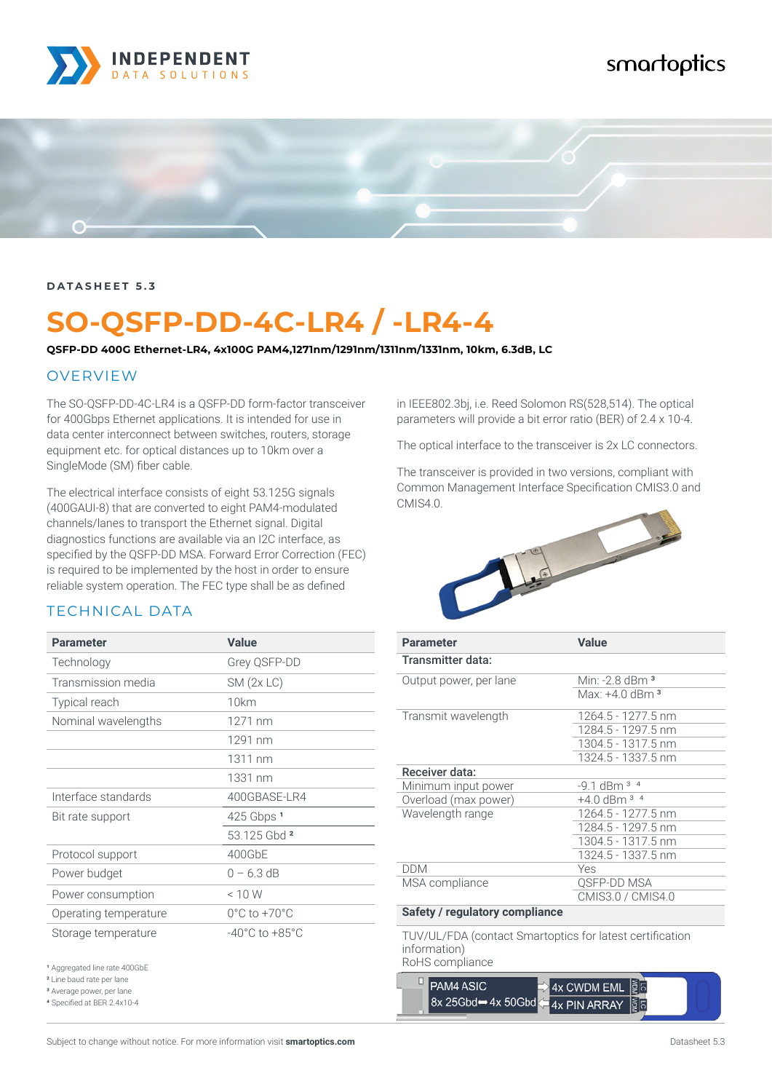

# smartoptics



#### **DATASHEET 5.3**

# **SO-QSFP-DD-4C-LR4 / -LR4-4**

**QSFP-DD 400G Ethernet-LR4, 4x100G PAM4,1271nm/1291nm/1311nm/1331nm, 10km, 6.3dB, LC**

#### OVERVIEW

The SO-QSFP-DD-4C-LR4 is a QSFP-DD form-factor transceiver for 400Gbps Ethernet applications. It is intended for use in data center interconnect between switches, routers, storage equipment etc. for optical distances up to 10km over a SingleMode (SM) fiber cable.

The electrical interface consists of eight 53.125G signals (400GAUI-8) that are converted to eight PAM4-modulated channels/lanes to transport the Ethernet signal. Digital diagnostics functions are available via an I2C interface, as specified by the QSFP-DD MSA. Forward Error Correction (FEC) is required to be implemented by the host in order to ensure reliable system operation. The FEC type shall be as defined

### TECHNICAL DATA

| <b>Parameter</b>                                                                 | <b>Value</b>                       |
|----------------------------------------------------------------------------------|------------------------------------|
| Technology                                                                       | Grey QSFP-DD                       |
| Transmission media                                                               | $SM$ (2x LC)                       |
| Typical reach                                                                    | 10km                               |
| Nominal wavelengths                                                              | 1271 nm                            |
|                                                                                  | 1291 nm                            |
|                                                                                  | 1311 nm                            |
|                                                                                  | 1331 nm                            |
| Interface standards                                                              | 400GBASE-LR4                       |
| Bit rate support                                                                 | 425 Gbps 1                         |
|                                                                                  | 53.125 Gbd 2                       |
| Protocol support                                                                 | 400GbE                             |
| Power budget                                                                     | $0 - 6.3$ dB                       |
| Power consumption                                                                | < 10 W                             |
| Operating temperature                                                            | $0^{\circ}$ C to +70 $^{\circ}$ C  |
| Storage temperature                                                              | $-40^{\circ}$ C to $+85^{\circ}$ C |
| <sup>1</sup> Aggregated line rate 400GbE<br><sup>2</sup> Line baud rate per lane |                                    |

<sup>3</sup> Average power, per lane

4 Specified at BER 2.4x10-4

in IEEE802.3bj, i.e. Reed Solomon RS(528,514). The optical parameters will provide a bit error ratio (BER) of 2.4 x 10-4.

The optical interface to the transceiver is 2x LC connectors.

The transceiver is provided in two versions, compliant with Common Management Interface Specification CMIS3.0 and CMIS4.0.



| <b>Parameter</b>               | <b>Value</b>               |
|--------------------------------|----------------------------|
| Transmitter data:              |                            |
| Output power, per lane         | Min: -2.8 dBm <sup>3</sup> |
|                                | Max: $+4.0$ dBm $^3$       |
| Transmit wavelength            | 1264.5 - 1277.5 nm         |
|                                | 1284.5 - 1297.5 nm         |
|                                | 1304.5 - 1317.5 nm         |
|                                | 1324.5 - 1337.5 nm         |
| Receiver data:                 |                            |
| Minimum input power            | $-9.1$ dBm $3$ $4$         |
| Overload (max power)           | $+4.0$ dBm $3$ $4$         |
| Wavelength range               | 1264.5 - 1277.5 nm         |
|                                | 1284.5 - 1297.5 nm         |
|                                | 1304.5 - 1317.5 nm         |
|                                | 1324.5 - 1337.5 nm         |
| <b>DDM</b>                     | Yes                        |
| MSA compliance                 | QSFP-DD MSA                |
|                                | CMIS3.0 / CMIS4.0          |
| Cafety / requisiony compliance |                            |

#### **Safety / regulatory compliance**

TUV/UL/FDA (contact Smartoptics for latest certification information)

RoHS compliance